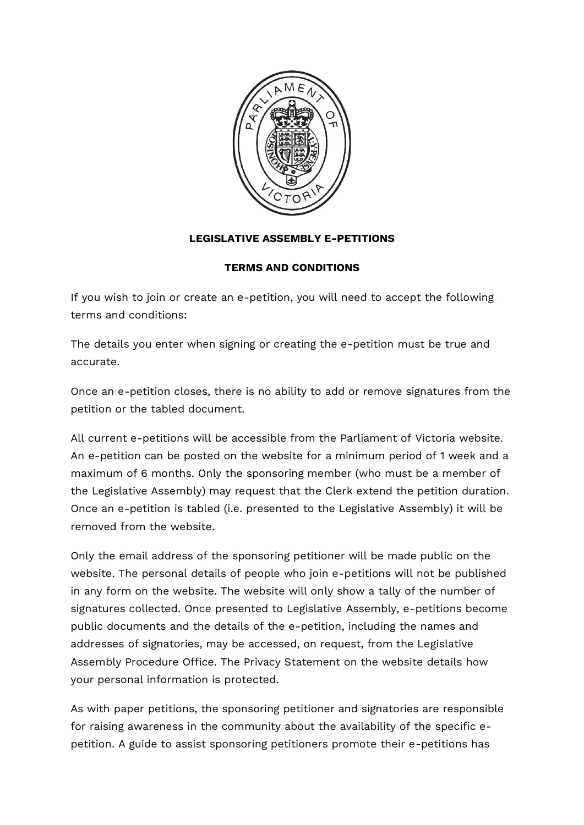

## **LEGISLATIVE ASSEMBLY E-PETITIONS**

## **TERMS AND CONDITIONS**

If you wish to join or create an e-petition, you will need to accept the following terms and conditions:

The details you enter when signing or creating the e-petition must be true and accurate.

Once an e-petition closes, there is no ability to add or remove signatures from the petition or the tabled document.

All current e-petitions will be accessible from the Parliament of Victoria website. An e-petition can be posted on the website for a minimum period of 1 week and a maximum of 6 months. Only the sponsoring member (who must be a member of the Legislative Assembly) may request that the Clerk extend the petition duration. Once an e-petition is tabled (i.e. presented to the Legislative Assembly) it will be removed from the website.

Only the email address of the sponsoring petitioner will be made public on the website. The personal details of people who join e-petitions will not be published in any form on the website. The website will only show a tally of the number of signatures collected. Once presented to Legislative Assembly, e-petitions become public documents and the details of the e-petition, including the names and addresses of signatories, may be accessed, on request, from the Legislative Assembly Procedure Office. The Privacy Statement on the website details how your personal information is protected.

As with paper petitions, the sponsoring petitioner and signatories are responsible for raising awareness in the community about the availability of the specific epetition. A guide to assist sponsoring petitioners promote their e-petitions has